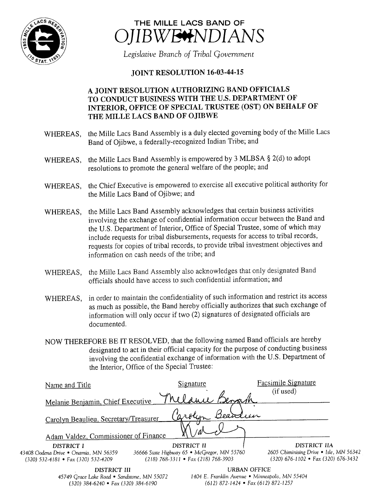



## JOINT RESOLUTION 16-03-44-15

## A JOINT RESOLUTION AUTHORIZING BAND OFFICIALS TO CONDUCT BUSINESS WITH THE U.S. DEPARTMENT OF INTERIOR, OFFICE OF SPECIAL TRUSTEE (OST) ON BEHALF OF THE MILLE LACS BAND OF OJIBWE

- WHEREAS, the Mille Lacs Band Assembly is <sup>a</sup> duly elected governing body of the Mille Lacs Band of Ojibwe, a federally-recognized Indian Tribe; and
- WHEREAS, the Mille Lacs Band Assembly is empowered by 3 MLBSA § 2(d) to adopt resolutions to promote the general welfare of the people; and
- WHEREAS, the Chief Executive is empowered to exercise all executive political authority for the Mille Lacs Band of Ojibwe; and
- WHEREAS, the Mile Lacs Band Assembly acknowledges that certain business activities involving the exchange of confidential information occur between the Band and the U.S. Department of Interior, Office of Special Trustee, some of which may include requests for tribal disbursements, requests for access to tribal records, requests for copies of tribal records, to provide tribal investment objectives and information on cash needs of the tribe; and
- WHEREAS, the Mille Lacs Band Assembly also acknowledges that only designated Band officials should have access to such confidential information; and
- WHEREAS, in order to maintain the confidentiality of such information and restrict its access as much as possible, the Band hereby officially authorizes that such exchange of information will only occur if two (2) signatures of designated officials are documented.
- NOW THEREFORE BE IT RESOLVED, that the following named Band officials are hereby designated to act in their official capacity for the purpose of conducting business involving the confidential exchange of information with the U.S. Department of the Interior, Office of the Special Trustee:

| Name and Title                                                                                      | Signature                                                                                           | Facsimile Signature                                                                            |
|-----------------------------------------------------------------------------------------------------|-----------------------------------------------------------------------------------------------------|------------------------------------------------------------------------------------------------|
| Melanie Benjamin, Chief Executive                                                                   | Densorsk                                                                                            | (if used)                                                                                      |
| Carolyn Beaulieu, Secretary/Treasurer                                                               | arolion<br>$\varphi a$                                                                              |                                                                                                |
| Adam Valdez, Commissioner of Finance                                                                |                                                                                                     |                                                                                                |
| <b>DISTRICT I</b><br>43408 Oodena Drive • Onamia, MN 56359<br>$(320)$ 532-4181 • Fax (320) 532-4209 | DISTRICT II<br>36666 State Highway 65 • McGregor, MN 55760<br>$(218)$ 768-3311 • Fax (218) 768-3903 | DISTRICT IIA<br>2605 Chiminising Drive . Isle, MN 56342<br>(320) 676-1102 • Fax (320) 676-3432 |
| URBAN OFFICE<br>DISTRICT III                                                                        |                                                                                                     |                                                                                                |

45749 Grace Lake Road • Sandstone, MN 55072 1404 E. Franklin Avenue • Minneapolis, MN 55404 320) 384- 6240 • Fax( 320) 384- 6190 612) 872- 1424 • Fax( 612) 872- 1257